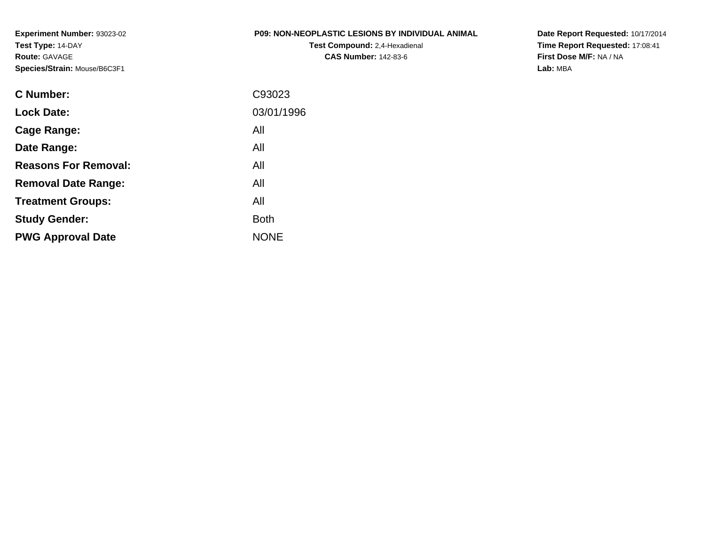**Experiment Number:** 93023-02**Test Type:** 14-DAY**Route:** GAVAGE**Species/Strain:** Mouse/B6C3F1

### **P09: NON-NEOPLASTIC LESIONS BY INDIVIDUAL ANIMAL**

**Test Compound:** 2,4-Hexadienal **CAS Number:** 142-83-6

**Date Report Requested:** 10/17/2014 **Time Report Requested:** 17:08:41**First Dose M/F:** NA / NA**Lab:** MBA

| C93023      |
|-------------|
| 03/01/1996  |
| All         |
| All         |
| All         |
| All         |
| All         |
| <b>Both</b> |
| <b>NONE</b> |
|             |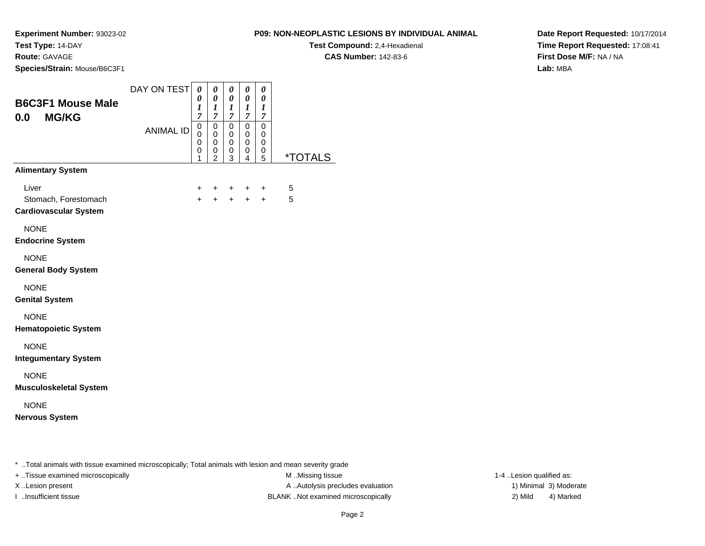**Route:** GAVAGE

**Species/Strain:** Mouse/B6C3F1

**Test Compound:** 2,4-Hexadienal

**CAS Number:** 142-83-6

**Date Report Requested:** 10/17/2014**Time Report Requested:** 17:08:41**First Dose M/F:** NA / NA**Lab:** MBA

| <b>B6C3F1 Mouse Male</b><br><b>MG/KG</b><br>0.0                                                         | DAY ON TEST      | 0<br>0<br>1<br>$\overline{7}$   | 0<br>$\boldsymbol{\theta}$<br>1<br>$\boldsymbol{7}$ | 0<br>0<br>1<br>$\overline{7}$ | 0<br>$\boldsymbol{\theta}$<br>1<br>$\boldsymbol{7}$ | 0<br>$\boldsymbol{\theta}$<br>1<br>7 |                       |
|---------------------------------------------------------------------------------------------------------|------------------|---------------------------------|-----------------------------------------------------|-------------------------------|-----------------------------------------------------|--------------------------------------|-----------------------|
|                                                                                                         | <b>ANIMAL ID</b> | $\mathbf 0$<br>0<br>0<br>0<br>1 | 0<br>0<br>0<br>0<br>$\overline{2}$                  | 0<br>0<br>0<br>0<br>3         | $\mathbf 0$<br>0<br>0<br>0<br>4                     | $\mathbf 0$<br>0<br>0<br>0<br>5      | <i><b>*TOTALS</b></i> |
| <b>Alimentary System</b>                                                                                |                  |                                 |                                                     |                               |                                                     |                                      |                       |
| Liver<br>Stomach, Forestomach<br><b>Cardiovascular System</b>                                           |                  | $\pm$<br>$+$                    | $+$<br>$+$                                          | $\pm$<br>$+$                  | $\ddot{}$<br>$+$                                    | ÷<br>$\ddot{}$                       | 5<br>5                |
| <b>NONE</b><br><b>Endocrine System</b>                                                                  |                  |                                 |                                                     |                               |                                                     |                                      |                       |
| <b>NONE</b><br><b>General Body System</b>                                                               |                  |                                 |                                                     |                               |                                                     |                                      |                       |
| <b>NONE</b><br><b>Genital System</b>                                                                    |                  |                                 |                                                     |                               |                                                     |                                      |                       |
| <b>NONE</b><br><b>Hematopoietic System</b>                                                              |                  |                                 |                                                     |                               |                                                     |                                      |                       |
| <b>NONE</b><br><b>Integumentary System</b>                                                              |                  |                                 |                                                     |                               |                                                     |                                      |                       |
| <b>NONE</b><br><b>Musculoskeletal System</b>                                                            |                  |                                 |                                                     |                               |                                                     |                                      |                       |
| <b>NONE</b><br><b>Nervous System</b>                                                                    |                  |                                 |                                                     |                               |                                                     |                                      |                       |
| * Total animals with tissue examined microscopically; Total animals with lesion and mean severity grade |                  |                                 |                                                     |                               |                                                     |                                      |                       |

+ ..Tissue examined microscopically examined microscopically examined as:  $M$  ..Missing tissue 1-4 ..Lesion qualified as:

X..Lesion present **A ..Autolysis precludes evaluation** A ..Autolysis precludes evaluation 1) Minimal 3) Moderate I ..Insufficient tissue BLANK ..Not examined microscopically 2) Mild 4) Marked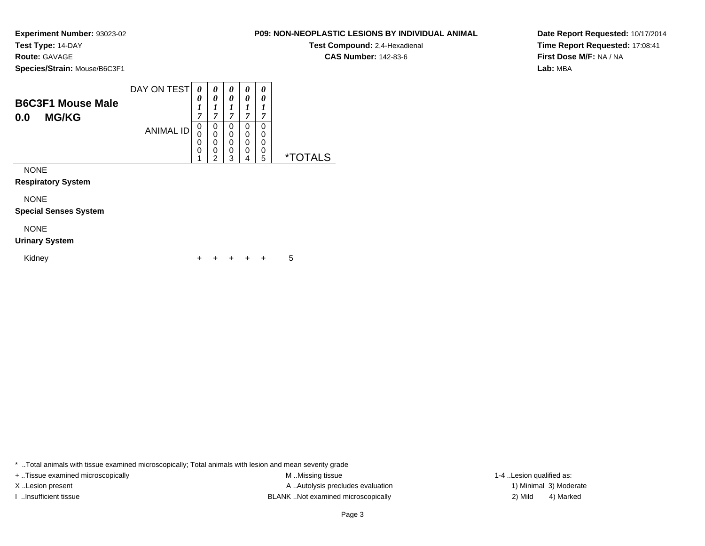### **Route:** GAVAGE

**Species/Strain:** Mouse/B6C3F1

| <b>B6C3F1 Mouse Male</b> | DAY ON TEST      | 0<br>0 | 0<br>0 | $\boldsymbol{\theta}$ | 0<br>0 | 0<br>0 |   |
|--------------------------|------------------|--------|--------|-----------------------|--------|--------|---|
| <b>MG/KG</b><br>0.0      |                  | ⇁      | 7      | ~                     | 7      | 7      |   |
|                          | <b>ANIMAL ID</b> | 0      | 0      | U                     | 0      | 0      |   |
|                          |                  | 0      | 0      |                       | 0      | 0      |   |
|                          |                  | 0      | 0      |                       | 0      | 0      |   |
|                          |                  | 0      | 0<br>◠ | 0                     | 0      | 0      | × |
|                          |                  |        |        | 2                     | 4      | 5      |   |

NONE

**Respiratory System**

NONE

**Special Senses System**

## NONE

### **Urinary System**

Kidney $\mathsf y$ <sup>+</sup> <sup>+</sup> <sup>+</sup> + 5

\* ..Total animals with tissue examined microscopically; Total animals with lesion and mean severity grade

+ ..Tissue examined microscopically examined microscopically examined as:  $M$  ..Missing tissue 1-4 ..Lesion qualified as: X..Lesion present **A ..Autolysis precludes evaluation** A ..Autolysis precludes evaluation 1) Minimal 3) Moderate I ..Insufficient tissue BLANK ..Not examined microscopically 2) Mild 4) Marked

# **CAS Number:** 142-83-6

**P09: NON-NEOPLASTIC LESIONS BY INDIVIDUAL ANIMALTest Compound:** 2,4-Hexadienal

**Date Report Requested:** 10/17/2014**Time Report Requested:** 17:08:41**First Dose M/F:** NA / NA**Lab:** MBA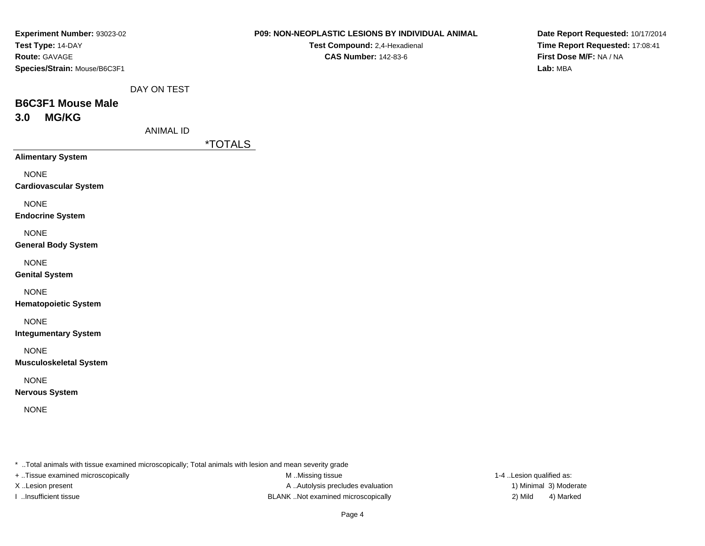**Test Compound:** 2,4-Hexadienal **CAS Number:** 142-83-6

**Date Report Requested:** 10/17/2014**Time Report Requested:** 17:08:41**First Dose M/F:** NA / NA**Lab:** MBA

DAY ON TEST

# **B6C3F1 Mouse Male3.0 MG/KG**

ANIMAL ID

\*TOTALS

**Alimentary System**

NONE

**Cardiovascular System**

NONE

**Endocrine System**

NONE

### **General Body System**

NONE

**Genital System**

### NONE

**Hematopoietic System**

### NONE

**Integumentary System**

NONE

**Musculoskeletal System**

### NONE

**Nervous System**

NONE

\* ..Total animals with tissue examined microscopically; Total animals with lesion and mean severity grade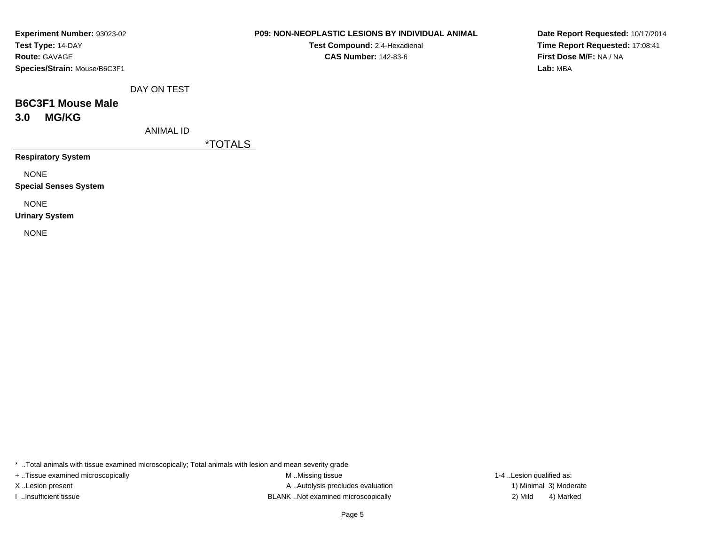| Experiment Number: 93023-02  |
|------------------------------|
| Test Type: 14-DAY            |
| <b>Route: GAVAGE</b>         |
| Species/Strain: Mouse/B6C3F1 |

**Test Compound:** 2,4-Hexadienal **CAS Number:** 142-83-6

**Date Report Requested:** 10/17/2014**Time Report Requested:** 17:08:41**First Dose M/F:** NA / NA**Lab:** MBA

DAY ON TEST

# **B6C3F1 Mouse Male3.0 MG/KG**

ANIMAL ID

\*TOTALS

**Respiratory System**

NONE

**Special Senses System**

NONE

**Urinary System**

NONE

\* ..Total animals with tissue examined microscopically; Total animals with lesion and mean severity grade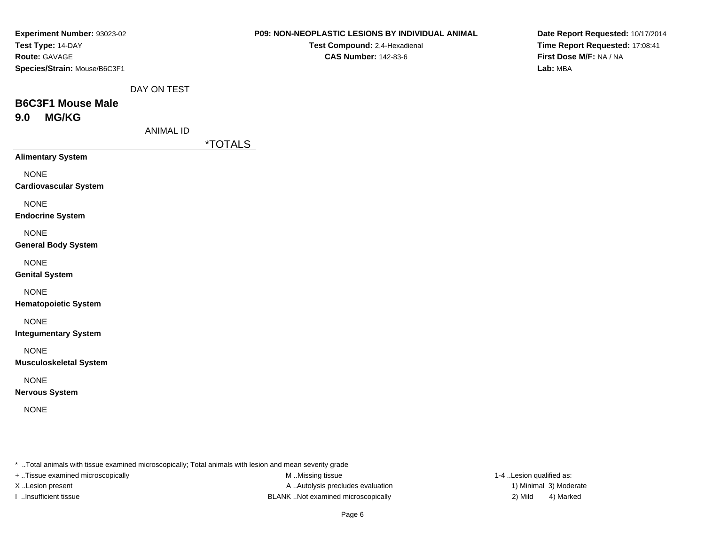| Experiment Number: 93023-02<br>Test Type: 14-DAY<br>Route: GAVAGE                                       |                  |                       | P09: NON-NEOPLASTIC LESIONS BY INDIVIDUAL ANIMAL<br>Test Compound: 2,4-Hexadienal<br><b>CAS Number: 142-83-6</b> | Date Report Requested: 10/17/2014<br>Time Report Requested: 17:08:41<br>First Dose M/F: NA / NA |
|---------------------------------------------------------------------------------------------------------|------------------|-----------------------|------------------------------------------------------------------------------------------------------------------|-------------------------------------------------------------------------------------------------|
| Species/Strain: Mouse/B6C3F1                                                                            |                  |                       |                                                                                                                  | Lab: MBA                                                                                        |
|                                                                                                         | DAY ON TEST      |                       |                                                                                                                  |                                                                                                 |
| <b>B6C3F1 Mouse Male</b><br><b>MG/KG</b><br>9.0                                                         |                  |                       |                                                                                                                  |                                                                                                 |
|                                                                                                         | <b>ANIMAL ID</b> | <i><b>*TOTALS</b></i> |                                                                                                                  |                                                                                                 |
| <b>Alimentary System</b>                                                                                |                  |                       |                                                                                                                  |                                                                                                 |
| <b>NONE</b><br><b>Cardiovascular System</b>                                                             |                  |                       |                                                                                                                  |                                                                                                 |
| <b>NONE</b><br><b>Endocrine System</b>                                                                  |                  |                       |                                                                                                                  |                                                                                                 |
| <b>NONE</b><br><b>General Body System</b>                                                               |                  |                       |                                                                                                                  |                                                                                                 |
| <b>NONE</b><br><b>Genital System</b>                                                                    |                  |                       |                                                                                                                  |                                                                                                 |
| <b>NONE</b><br><b>Hematopoietic System</b>                                                              |                  |                       |                                                                                                                  |                                                                                                 |
| <b>NONE</b><br><b>Integumentary System</b>                                                              |                  |                       |                                                                                                                  |                                                                                                 |
| <b>NONE</b><br><b>Musculoskeletal System</b>                                                            |                  |                       |                                                                                                                  |                                                                                                 |
| <b>NONE</b><br><b>Nervous System</b>                                                                    |                  |                       |                                                                                                                  |                                                                                                 |
| <b>NONE</b>                                                                                             |                  |                       |                                                                                                                  |                                                                                                 |
|                                                                                                         |                  |                       |                                                                                                                  |                                                                                                 |
|                                                                                                         |                  |                       |                                                                                                                  |                                                                                                 |
| * Total animals with tissue examined microscopically; Total animals with lesion and mean severity grade |                  |                       |                                                                                                                  |                                                                                                 |

+ ..Tissue examined microscopically

M ..Missing tissue X..Lesion present **A ..Autolysis precludes evaluation** A ..Autolysis precludes evaluation 1) Minimal 3) Moderate I ..Insufficient tissue 2) Mild ...Insufficient tissue 2) Mild

1-4 ..Lesion qualified as: 4) Marked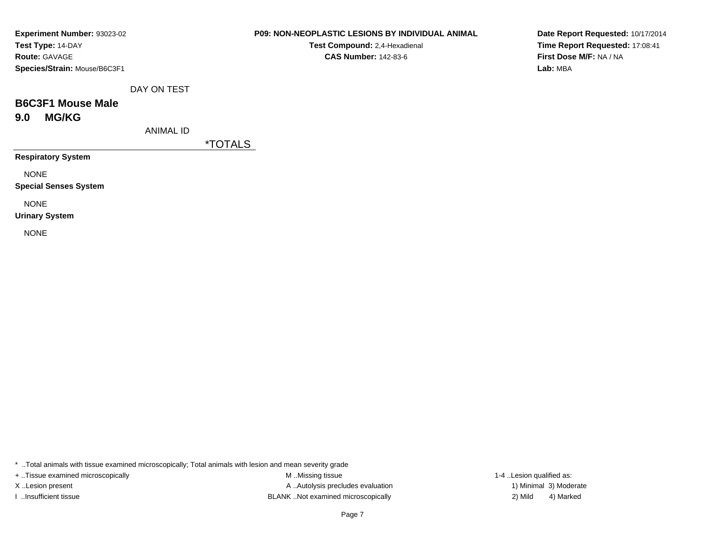| Experiment Number: 93023-02  |
|------------------------------|
| Test Type: 14-DAY            |
| <b>Route: GAVAGE</b>         |
| Species/Strain: Mouse/B6C3F1 |

**Test Compound:** 2,4-Hexadienal **CAS Number:** 142-83-6

**Date Report Requested:** 10/17/2014**Time Report Requested:** 17:08:41**First Dose M/F:** NA / NA**Lab:** MBA

DAY ON TEST

# **B6C3F1 Mouse Male9.0 MG/KG**

ANIMAL ID

\*TOTALS

**Respiratory System**

NONE

**Special Senses System**

NONE

**Urinary System**

NONE

\* ..Total animals with tissue examined microscopically; Total animals with lesion and mean severity grade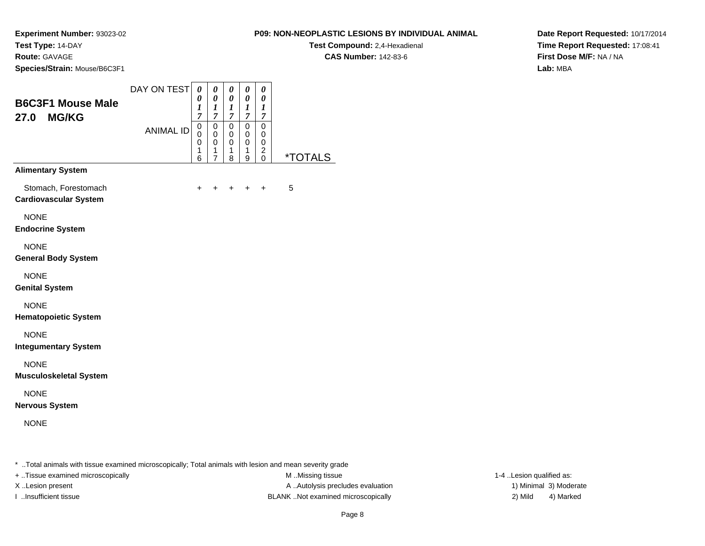**Test Compound:** 2,4-Hexadienal **CAS Number:** 142-83-6

**Experiment Number:** 93023-02**Test Type:** 14-DAY

**Route:** GAVAGE

**Species/Strain:** Mouse/B6C3F1

| <b>B6C3F1 Mouse Male</b><br>27.0<br><b>MG/KG</b><br><b>Alimentary System</b> | DAY ON TEST<br><b>ANIMAL ID</b> | 0<br>0<br>1<br>7<br>0<br>0<br>0<br>1<br>6 | 0<br>$\pmb{\theta}$<br>1<br>$\boldsymbol{7}$<br>0<br>$\mathbf 0$<br>0<br>1<br>$\overline{7}$ | 0<br>$\boldsymbol{\theta}$<br>1<br>$\overline{7}$<br>0<br>0<br>0<br>1<br>8 | 0<br>$\boldsymbol{\theta}$<br>1<br>$\overline{7}$<br>0<br>0<br>0<br>1<br>9 | 0<br>0<br>1<br>$\overline{7}$<br>0<br>0<br>0<br>$\overline{\mathbf{c}}$<br>$\mathbf{0}$ | <i><b>*TOTALS</b></i> |
|------------------------------------------------------------------------------|---------------------------------|-------------------------------------------|----------------------------------------------------------------------------------------------|----------------------------------------------------------------------------|----------------------------------------------------------------------------|-----------------------------------------------------------------------------------------|-----------------------|
| Stomach, Forestomach<br><b>Cardiovascular System</b>                         |                                 | +                                         | +                                                                                            | +                                                                          | $\ddot{}$                                                                  | +                                                                                       | 5                     |
| <b>NONE</b><br><b>Endocrine System</b>                                       |                                 |                                           |                                                                                              |                                                                            |                                                                            |                                                                                         |                       |
| <b>NONE</b><br><b>General Body System</b>                                    |                                 |                                           |                                                                                              |                                                                            |                                                                            |                                                                                         |                       |
| <b>NONE</b><br><b>Genital System</b>                                         |                                 |                                           |                                                                                              |                                                                            |                                                                            |                                                                                         |                       |
| <b>NONE</b><br><b>Hematopoietic System</b>                                   |                                 |                                           |                                                                                              |                                                                            |                                                                            |                                                                                         |                       |
| <b>NONE</b><br><b>Integumentary System</b>                                   |                                 |                                           |                                                                                              |                                                                            |                                                                            |                                                                                         |                       |
| <b>NONE</b><br><b>Musculoskeletal System</b>                                 |                                 |                                           |                                                                                              |                                                                            |                                                                            |                                                                                         |                       |
| <b>NONE</b><br><b>Nervous System</b>                                         |                                 |                                           |                                                                                              |                                                                            |                                                                            |                                                                                         |                       |
| <b>NONE</b>                                                                  |                                 |                                           |                                                                                              |                                                                            |                                                                            |                                                                                         |                       |

**Date Report Requested:** 10/17/2014**Time Report Requested:** 17:08:41**First Dose M/F:** NA / NA**Lab:** MBA

\* ..Total animals with tissue examined microscopically; Total animals with lesion and mean severity grade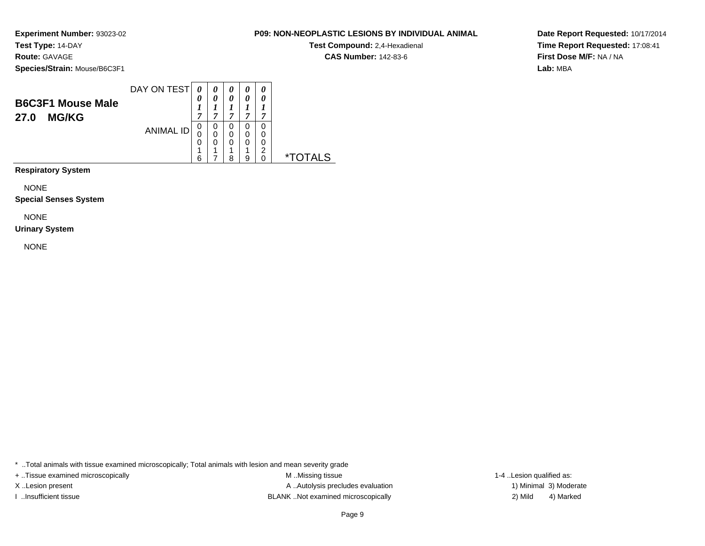**Route:** GAVAGE

**Species/Strain:** Mouse/B6C3F1

| <b>B6C3F1 Mouse Male</b><br><b>MG/KG</b><br>27.0 | DAY ON TEST      | 0<br>7                | $\boldsymbol{\theta}$ | 0<br>0<br>,           | 0<br>0<br>⇁           | 0<br>0<br>7           |           |
|--------------------------------------------------|------------------|-----------------------|-----------------------|-----------------------|-----------------------|-----------------------|-----------|
|                                                  | <b>ANIMAL ID</b> | 0<br>C<br>0<br>4<br>ĥ | 0<br>и                | 0<br>0<br>0<br>4<br>я | 0<br>0<br>0<br>4<br>a | 0<br>0<br>0<br>2<br>ი | $\star^-$ |

**Respiratory System**

NONE

**Special Senses System**

NONE

### **Urinary System**

NONE

\* ..Total animals with tissue examined microscopically; Total animals with lesion and mean severity grade

+ ..Tissue examined microscopically examined microscopically examined as:  $M$  ..Missing tissue 1-4 ..Lesion qualified as: X..Lesion present **A ..Autolysis precludes evaluation** A ..Autolysis precludes evaluation 1) Minimal 3) Moderate I ..Insufficient tissue BLANK ..Not examined microscopically 2) Mild 4) Marked

Page 9

**Date Report Requested:** 10/17/2014**Time Report Requested:** 17:08:41**First Dose M/F:** NA / NA**Lab:** MBA

### **P09: NON-NEOPLASTIC LESIONS BY INDIVIDUAL ANIMAL**

**Test Compound:** 2,4-Hexadienal **CAS Number:** 142-83-6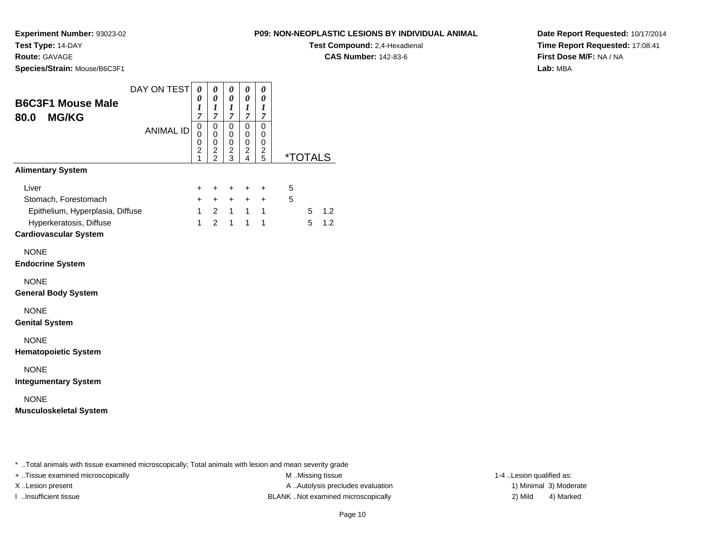**Route:** GAVAGE

**Species/Strain:** Mouse/B6C3F1

### **P09: NON-NEOPLASTIC LESIONS BY INDIVIDUAL ANIMAL**

**Test Compound:** 2,4-Hexadienal

**CAS Number:** 142-83-6

**Date Report Requested:** 10/17/2014**Time Report Requested:** 17:08:41**First Dose M/F:** NA / NA**Lab:** MBA

|                                                         | DAY ON TEST      | $\pmb{\theta}$                | 0                               | 0                             | 0                                | 0                             |   |                |     |
|---------------------------------------------------------|------------------|-------------------------------|---------------------------------|-------------------------------|----------------------------------|-------------------------------|---|----------------|-----|
| <b>B6C3F1 Mouse Male</b>                                |                  | 0<br>$\boldsymbol{l}$         | 0<br>$\boldsymbol{l}$           | 0<br>$\boldsymbol{l}$         | 0<br>1                           | 0<br>1                        |   |                |     |
| 80.0<br><b>MG/KG</b>                                    |                  | $\overline{7}$<br>$\mathsf 0$ | $\boldsymbol{7}$<br>$\mathbf 0$ | $\overline{7}$<br>$\mathbf 0$ | $\overline{7}$<br>$\overline{0}$ | $\overline{7}$<br>$\mathbf 0$ |   |                |     |
|                                                         | <b>ANIMAL ID</b> | 0                             | 0                               | 0                             | 0                                | 0                             |   |                |     |
|                                                         |                  | 0<br>$\overline{c}$           | 0<br>$\frac{2}{2}$              | 0<br>$\frac{2}{3}$            | 0<br>$\overline{\mathbf{c}}$     | 0<br>$\overline{\mathbf{c}}$  |   |                |     |
| <b>Alimentary System</b>                                |                  | 1                             |                                 |                               | $\overline{4}$                   | 5                             |   | <u>*TOTALS</u> |     |
|                                                         |                  |                               |                                 |                               |                                  |                               |   |                |     |
| Liver                                                   |                  | +                             | $\ddot{}$                       | $\ddot{}$                     | $\ddot{}$                        | $\ddot{}$                     | 5 |                |     |
| Stomach, Forestomach                                    |                  | $\ddot{}$                     | $\ddot{}$                       | $\ddot{}$                     | $+$                              | $\ddot{}$                     | 5 |                |     |
| Epithelium, Hyperplasia, Diffuse                        |                  | $\mathbf{1}$                  | $\overline{2}$                  | $\mathbf{1}$                  | $\overline{\phantom{1}}$         | $\mathbf{1}$                  |   | 5              | 1.2 |
| Hyperkeratosis, Diffuse<br><b>Cardiovascular System</b> |                  | $\mathbf{1}$                  | $\overline{2}$                  | $\mathbf{1}$                  | $\mathbf{1}$                     | $\mathbf{1}$                  |   | 5              | 1.2 |
|                                                         |                  |                               |                                 |                               |                                  |                               |   |                |     |
| <b>NONE</b>                                             |                  |                               |                                 |                               |                                  |                               |   |                |     |
| <b>Endocrine System</b>                                 |                  |                               |                                 |                               |                                  |                               |   |                |     |
| <b>NONE</b>                                             |                  |                               |                                 |                               |                                  |                               |   |                |     |
| <b>General Body System</b>                              |                  |                               |                                 |                               |                                  |                               |   |                |     |
| <b>NONE</b>                                             |                  |                               |                                 |                               |                                  |                               |   |                |     |
| <b>Genital System</b>                                   |                  |                               |                                 |                               |                                  |                               |   |                |     |
| <b>NONE</b>                                             |                  |                               |                                 |                               |                                  |                               |   |                |     |
| <b>Hematopoietic System</b>                             |                  |                               |                                 |                               |                                  |                               |   |                |     |
| <b>NONE</b>                                             |                  |                               |                                 |                               |                                  |                               |   |                |     |
| <b>Integumentary System</b>                             |                  |                               |                                 |                               |                                  |                               |   |                |     |
| <b>NONE</b>                                             |                  |                               |                                 |                               |                                  |                               |   |                |     |
| <b>Musculoskeletal System</b>                           |                  |                               |                                 |                               |                                  |                               |   |                |     |
|                                                         |                  |                               |                                 |                               |                                  |                               |   |                |     |
|                                                         |                  |                               |                                 |                               |                                  |                               |   |                |     |
|                                                         |                  |                               |                                 |                               |                                  |                               |   |                |     |

\* ..Total animals with tissue examined microscopically; Total animals with lesion and mean severity grade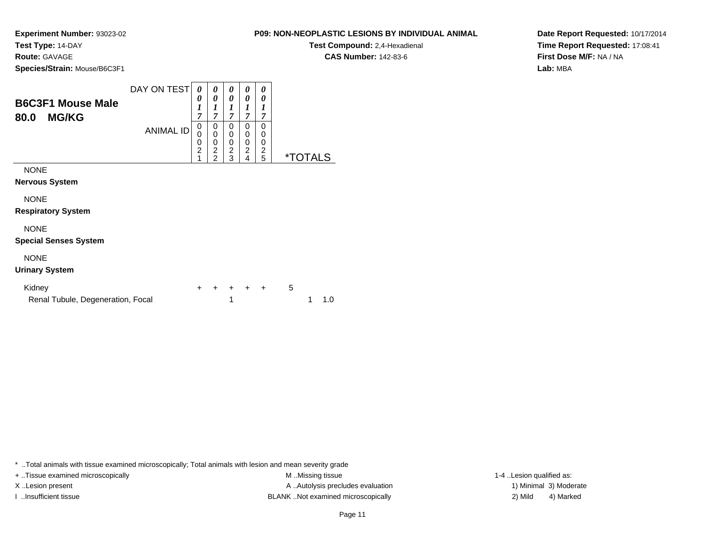**Test Compound:** 2,4-Hexadienal **CAS Number:** 142-83-6

**Date Report Requested:** 10/17/2014**Time Report Requested:** 17:08:41**First Dose M/F:** NA / NA**Lab:** MBA

**Experiment Number:** 93023-02**Test Type:** 14-DAY**Route:** GAVAGE**Species/Strain:** Mouse/B6C3F1

| <b>B6C3F1 Mouse Male</b><br>80.0<br><b>MG/KG</b> | DAY ON TEST      | 0<br>0<br>$\boldsymbol{l}$<br>7        | 0<br>0<br>$\boldsymbol{l}$<br>7                 | 0<br>0<br>1<br>7                   | 0<br>0<br>1<br>7                   | 0<br>0<br>1<br>7                   |                       |
|--------------------------------------------------|------------------|----------------------------------------|-------------------------------------------------|------------------------------------|------------------------------------|------------------------------------|-----------------------|
|                                                  | <b>ANIMAL ID</b> | 0<br>$\mathbf 0$<br>$\frac{0}{2}$<br>1 | 0<br>0<br>0<br>$\overline{2}$<br>$\overline{2}$ | 0<br>0<br>0<br>$\overline{2}$<br>3 | 0<br>0<br>0<br>$\overline{c}$<br>4 | 0<br>0<br>0<br>$\overline{2}$<br>5 | <i><b>*TOTALS</b></i> |
| <b>NONE</b><br>Nervous System                    |                  |                                        |                                                 |                                    |                                    |                                    |                       |
| <b>NONE</b><br><b>Respiratory System</b>         |                  |                                        |                                                 |                                    |                                    |                                    |                       |
| <b>NONE</b><br><b>Special Senses System</b>      |                  |                                        |                                                 |                                    |                                    |                                    |                       |
| <b>NIONIE</b>                                    |                  |                                        |                                                 |                                    |                                    |                                    |                       |

# NONE

### **Urinary System**

| Kidney                            |  |  | + + + + + 5 |               |
|-----------------------------------|--|--|-------------|---------------|
| Renal Tubule, Degeneration, Focal |  |  |             | $1 \quad 1.0$ |

\* ..Total animals with tissue examined microscopically; Total animals with lesion and mean severity grade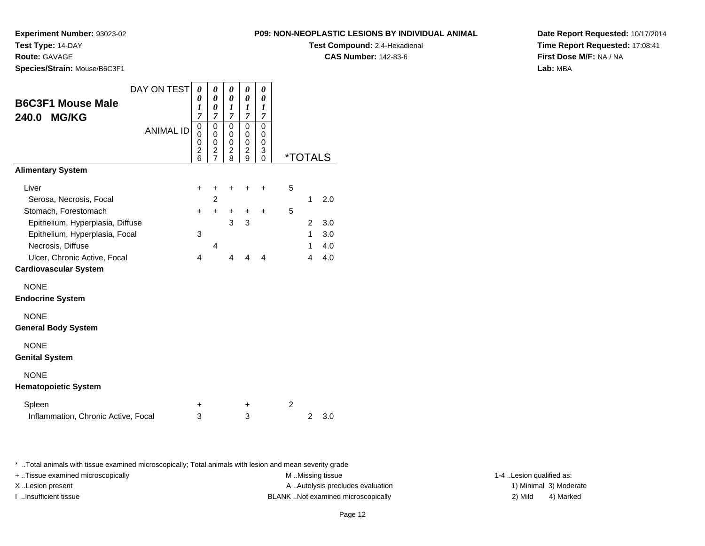**Experiment Number:** 93023-02**Test Type:** 14-DAY

**Route:** GAVAGE

**Species/Strain:** Mouse/B6C3F1

| <b>Test Compound: 2.4-Hexadienal</b> |
|--------------------------------------|
| <b>CAS Number: 142-83-6</b>          |
|                                      |

**Date Report Requested:** 10/17/2014**Time Report Requested:** 17:08:41**First Dose M/F:** NA / NA**Lab:** MBA

| <b>B6C3F1 Mouse Male</b><br><b>MG/KG</b><br>240.0 | DAY ON TEST      | 0<br>0<br>1<br>$\overline{7}$               | 0<br>$\theta$<br>0<br>$\overline{7}$ | 0<br>0<br>1<br>$\overline{7}$ | 0<br>0<br>1<br>7        | 0<br>0<br>1<br>$\overline{7}$           |   |                |            |
|---------------------------------------------------|------------------|---------------------------------------------|--------------------------------------|-------------------------------|-------------------------|-----------------------------------------|---|----------------|------------|
|                                                   | <b>ANIMAL ID</b> | 0<br>0<br>0<br>$\overline{\mathbf{c}}$<br>6 | 0<br>0<br>0<br>$\frac{2}{7}$         | 0<br>0<br>0<br>2<br>8         | 0<br>0<br>0<br>2<br>9   | $\Omega$<br>0<br>0<br>3<br>$\mathbf{0}$ |   | *TOTALS        |            |
| <b>Alimentary System</b>                          |                  |                                             |                                      |                               |                         |                                         |   |                |            |
| Liver                                             |                  | $\ddot{}$                                   | +                                    | ٠                             | ÷                       | ٠                                       | 5 |                |            |
| Serosa, Necrosis, Focal                           |                  |                                             | 2                                    |                               |                         |                                         |   | 1              | 2.0        |
| Stomach, Forestomach                              |                  | $\ddot{}$                                   | $\ddot{}$                            | +                             | $\ddot{}$               | $\ddot{}$                               | 5 |                |            |
| Epithelium, Hyperplasia, Diffuse                  |                  |                                             |                                      | 3                             | 3                       |                                         |   | $\overline{2}$ | 3.0        |
| Epithelium, Hyperplasia, Focal                    |                  | 3                                           |                                      |                               |                         |                                         |   | $\mathbf{1}$   | 3.0        |
| Necrosis, Diffuse<br>Ulcer, Chronic Active, Focal |                  | 4                                           | 4                                    | 4                             | $\overline{\mathbf{4}}$ | 4                                       |   | 1<br>4         | 4.0<br>4.0 |
| <b>Cardiovascular System</b>                      |                  |                                             |                                      |                               |                         |                                         |   |                |            |
| <b>NONE</b>                                       |                  |                                             |                                      |                               |                         |                                         |   |                |            |
| <b>Endocrine System</b>                           |                  |                                             |                                      |                               |                         |                                         |   |                |            |
| <b>NONE</b><br><b>General Body System</b>         |                  |                                             |                                      |                               |                         |                                         |   |                |            |
| <b>NONE</b><br><b>Genital System</b>              |                  |                                             |                                      |                               |                         |                                         |   |                |            |
| <b>NONE</b><br><b>Hematopoietic System</b>        |                  |                                             |                                      |                               |                         |                                         |   |                |            |
| Spleen                                            |                  | ٠                                           |                                      |                               | +                       |                                         | 2 |                |            |
| Inflammation, Chronic Active, Focal               |                  | 3                                           |                                      |                               | 3                       |                                         |   | $\overline{2}$ | 3.0        |

\* ..Total animals with tissue examined microscopically; Total animals with lesion and mean severity grade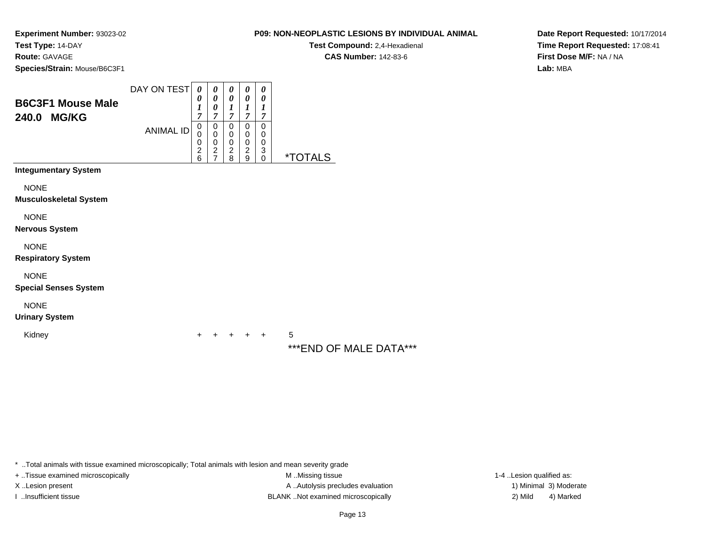**Test Compound:** 2,4-Hexadienal **CAS Number:** 142-83-6

**Date Report Requested:** 10/17/2014**Time Report Requested:** 17:08:41**First Dose M/F:** NA / NA**Lab:** MBA

**Experiment Number:** 93023-02**Test Type:** 14-DAY**Route:** GAVAGE**Species/Strain:** Mouse/B6C3F1

| <b>B6C3F1 Mouse Male</b><br>240.0 MG/KG      | DAY ON TEST      | 0<br>0<br>1<br>7                   | 0<br>0<br>0<br>7             | 0<br>0<br>1<br>7                   | 0<br>0<br>1<br>$\overline{7}$      | 0<br>0<br>1<br>7      |                       |
|----------------------------------------------|------------------|------------------------------------|------------------------------|------------------------------------|------------------------------------|-----------------------|-----------------------|
|                                              | <b>ANIMAL ID</b> | 0<br>0<br>0<br>$\overline{c}$<br>6 | 0<br>0<br>0<br>$\frac{2}{7}$ | 0<br>0<br>0<br>$\overline{c}$<br>8 | 0<br>0<br>0<br>$\overline{c}$<br>9 | 0<br>0<br>0<br>3<br>0 | <i><b>*TOTALS</b></i> |
| <b>Integumentary System</b>                  |                  |                                    |                              |                                    |                                    |                       |                       |
| <b>NONE</b><br><b>Musculoskeletal System</b> |                  |                                    |                              |                                    |                                    |                       |                       |
| <b>NONE</b><br>Nervous System                |                  |                                    |                              |                                    |                                    |                       |                       |
| <b>NONE</b><br><b>Respiratory System</b>     |                  |                                    |                              |                                    |                                    |                       |                       |
| <b>NONE</b>                                  |                  |                                    |                              |                                    |                                    |                       |                       |

**Special Senses System**

NONE

**Urinary System**

Kidney<sup>+</sup>

<sup>+</sup> <sup>+</sup> <sup>+</sup> + 5

### \*\*\*END OF MALE DATA\*\*\*

\* ..Total animals with tissue examined microscopically; Total animals with lesion and mean severity grade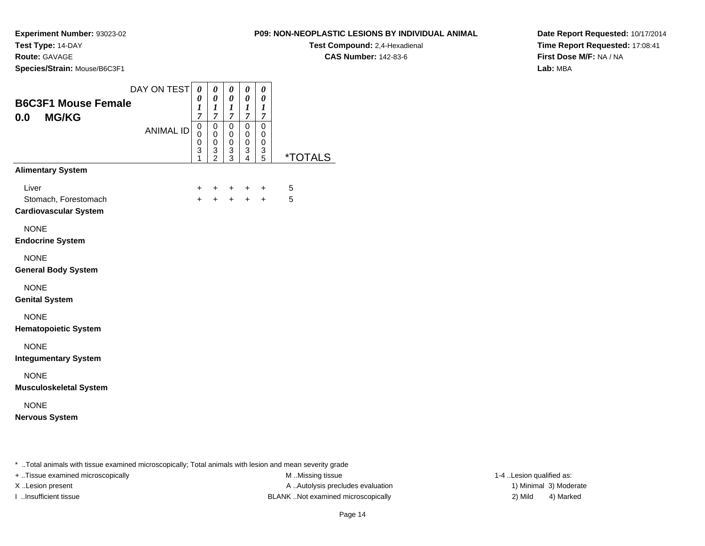**Route:** GAVAGE

**Species/Strain:** Mouse/B6C3F1

**Test Compound:** 2,4-Hexadienal

**CAS Number:** 142-83-6

**Date Report Requested:** 10/17/2014**Time Report Requested:** 17:08:41**First Dose M/F:** NA / NA**Lab:** MBA

|                                                               | DAY ON TEST      | $\boldsymbol{\theta}$<br>0                     | 0<br>$\boldsymbol{\theta}$                                     | 0<br>0                                              | 0<br>0                             | 0<br>0                                    |                       |
|---------------------------------------------------------------|------------------|------------------------------------------------|----------------------------------------------------------------|-----------------------------------------------------|------------------------------------|-------------------------------------------|-----------------------|
| <b>B6C3F1 Mouse Female</b><br><b>MG/KG</b><br>0.0             |                  | $\boldsymbol{l}$<br>$\overline{7}$             | $\boldsymbol{l}$<br>$\overline{7}$                             | $\boldsymbol{l}$<br>$\boldsymbol{7}$                | $\boldsymbol{I}$<br>$\overline{7}$ | $\boldsymbol{l}$<br>$\boldsymbol{7}$      |                       |
|                                                               | <b>ANIMAL ID</b> | $\mathbf 0$<br>0<br>$\boldsymbol{0}$<br>3<br>1 | $\mathbf 0$<br>$\pmb{0}$<br>$\mathbf 0$<br>3<br>$\overline{2}$ | $\Omega$<br>0<br>$\mathbf 0$<br>3<br>$\overline{3}$ | $\Omega$<br>0<br>0<br>3<br>4       | $\Omega$<br>0<br>0<br>3<br>$\overline{5}$ | <i><b>*TOTALS</b></i> |
| <b>Alimentary System</b>                                      |                  |                                                |                                                                |                                                     |                                    |                                           |                       |
| Liver<br>Stomach, Forestomach<br><b>Cardiovascular System</b> |                  | +<br>$\ddot{}$                                 | $\pm$<br>$+$                                                   | $+$                                                 | $\ddot{}$<br>$+$ $+$               | $\ddot{}$<br>$+$                          | 5<br>5                |
| <b>NONE</b><br><b>Endocrine System</b>                        |                  |                                                |                                                                |                                                     |                                    |                                           |                       |
| <b>NONE</b><br><b>General Body System</b>                     |                  |                                                |                                                                |                                                     |                                    |                                           |                       |
| <b>NONE</b><br><b>Genital System</b>                          |                  |                                                |                                                                |                                                     |                                    |                                           |                       |
| <b>NONE</b><br><b>Hematopoietic System</b>                    |                  |                                                |                                                                |                                                     |                                    |                                           |                       |
| <b>NONE</b><br><b>Integumentary System</b>                    |                  |                                                |                                                                |                                                     |                                    |                                           |                       |
| <b>NONE</b><br><b>Musculoskeletal System</b>                  |                  |                                                |                                                                |                                                     |                                    |                                           |                       |
| <b>NONE</b><br><b>Nervous System</b>                          |                  |                                                |                                                                |                                                     |                                    |                                           |                       |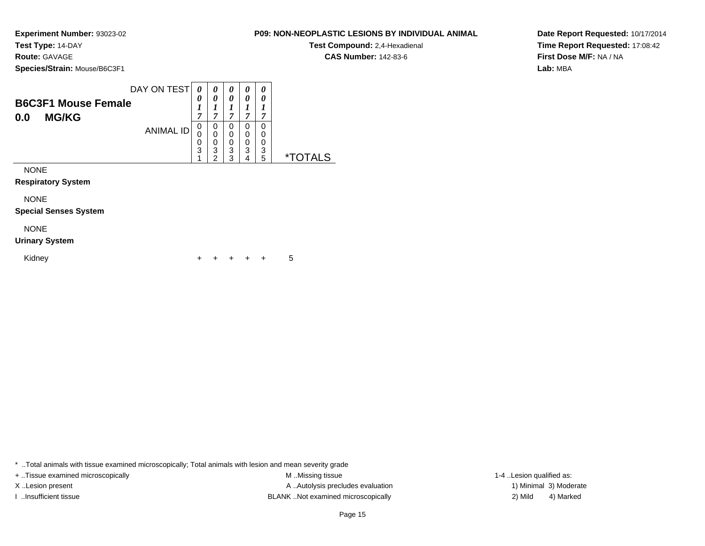### **Route:** GAVAGE

**Species/Strain:** Mouse/B6C3F1

|                            | DAY ON TEST      | $\boldsymbol{\Omega}$ |        | 0           | 0           | 0           |   |
|----------------------------|------------------|-----------------------|--------|-------------|-------------|-------------|---|
| <b>B6C3F1 Mouse Female</b> |                  | 0<br>,                | ~      | 0<br>~      | 0<br>,      | 0<br>7      |   |
| <b>MG/KG</b><br>0.0        | <b>ANIMAL ID</b> | U<br>Ü<br>O           | O<br>0 | 0<br>0<br>0 | 0<br>0<br>0 | 0<br>0<br>0 |   |
|                            |                  | 3                     | 3<br>ີ | 3<br>າ      | 3<br>4      | 3<br>5      | × |

NONE

**Respiratory System**

NONE

**Special Senses System**

### NONE

#### **Urinary System**

Kidney $\mathsf y$ <sup>+</sup> <sup>+</sup> <sup>+</sup> + 5

\* ..Total animals with tissue examined microscopically; Total animals with lesion and mean severity grade

+ ..Tissue examined microscopically examined microscopically examined as:  $M$  ..Missing tissue 1-4 ..Lesion qualified as: X..Lesion present **A ..Autolysis precludes evaluation** A ..Autolysis precludes evaluation 1) Minimal 3) Moderate I ..Insufficient tissue BLANK ..Not examined microscopically 2) Mild 4) Marked

Page 15

**Date Report Requested:** 10/17/2014**Time Report Requested:** 17:08:42**First Dose M/F:** NA / NA**Lab:** MBA

### **P09: NON-NEOPLASTIC LESIONS BY INDIVIDUAL ANIMAL**

**Test Compound:** 2,4-Hexadienal **CAS Number:** 142-83-6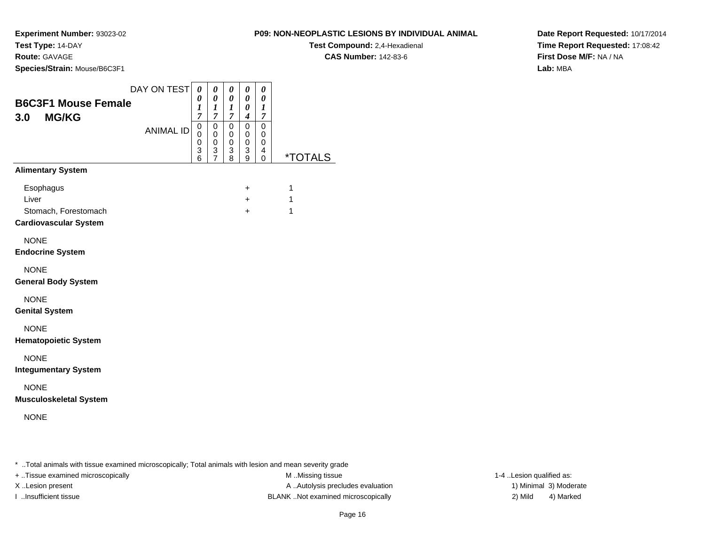**Route:** GAVAGE

**Species/Strain:** Mouse/B6C3F1

### **P09: NON-NEOPLASTIC LESIONS BY INDIVIDUAL ANIMAL**

**Test Compound:** 2,4-Hexadienal

**CAS Number:** 142-83-6

**Date Report Requested:** 10/17/2014**Time Report Requested:** 17:08:42**First Dose M/F:** NA / NA**Lab:** MBA

| <b>B6C3F1 Mouse Female</b><br>3.0<br><b>MG/KG</b>                          | DAY ON TEST      | 0<br>0<br>1<br>$\overline{7}$   | $\pmb{\theta}$<br>$\pmb{\theta}$<br>$\boldsymbol{l}$<br>7 | 0<br>0<br>1<br>$\overline{7}$           | 0<br>0<br>0<br>$\boldsymbol{4}$           | 0<br>$\boldsymbol{\theta}$<br>$\boldsymbol{l}$<br>$\overline{7}$ |                       |
|----------------------------------------------------------------------------|------------------|---------------------------------|-----------------------------------------------------------|-----------------------------------------|-------------------------------------------|------------------------------------------------------------------|-----------------------|
|                                                                            | <b>ANIMAL ID</b> | $\mathsf 0$<br>0<br>0<br>3<br>6 | $\mathbf 0$<br>0<br>0<br>3<br>$\overline{7}$              | $\mathbf 0$<br>$\pmb{0}$<br>0<br>3<br>8 | $\mathbf 0$<br>$\mathbf 0$<br>0<br>3<br>9 | $\mathbf 0$<br>0<br>0<br>4<br>0                                  | <i><b>*TOTALS</b></i> |
| <b>Alimentary System</b>                                                   |                  |                                 |                                                           |                                         |                                           |                                                                  |                       |
| Esophagus<br>Liver<br>Stomach, Forestomach<br><b>Cardiovascular System</b> |                  |                                 |                                                           |                                         | $\ddot{}$<br>$+$<br>$+$                   |                                                                  | 1<br>1<br>1           |
| <b>NONE</b><br><b>Endocrine System</b>                                     |                  |                                 |                                                           |                                         |                                           |                                                                  |                       |
| <b>NONE</b><br><b>General Body System</b>                                  |                  |                                 |                                                           |                                         |                                           |                                                                  |                       |
| <b>NONE</b><br><b>Genital System</b>                                       |                  |                                 |                                                           |                                         |                                           |                                                                  |                       |
| <b>NONE</b><br><b>Hematopoietic System</b>                                 |                  |                                 |                                                           |                                         |                                           |                                                                  |                       |
| <b>NONE</b><br><b>Integumentary System</b>                                 |                  |                                 |                                                           |                                         |                                           |                                                                  |                       |
| <b>NONE</b><br><b>Musculoskeletal System</b>                               |                  |                                 |                                                           |                                         |                                           |                                                                  |                       |
| <b>NONE</b>                                                                |                  |                                 |                                                           |                                         |                                           |                                                                  |                       |

\* ..Total animals with tissue examined microscopically; Total animals with lesion and mean severity grade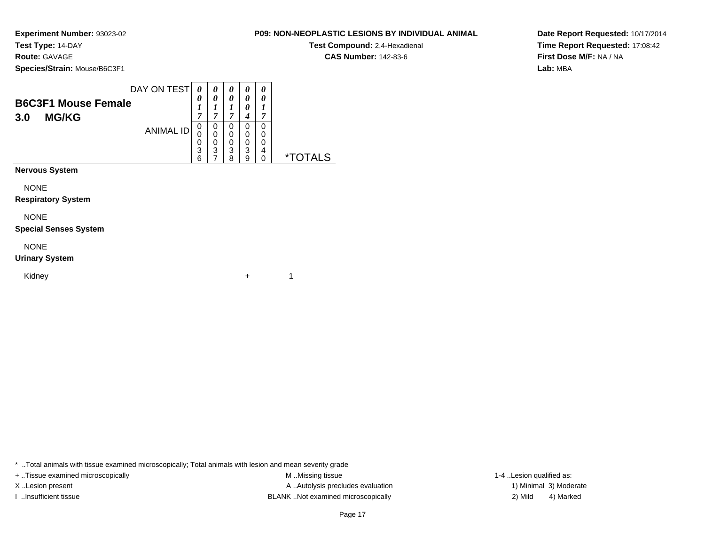### **Route:** GAVAGE

Kidney

**Species/Strain:** Mouse/B6C3F1

| <b>B6C3F1 Mouse Female</b><br><b>MG/KG</b><br>3.0 | DAY ON TEST      | 0<br>0<br>$\boldsymbol{l}$<br>7 | 0<br>0<br>1<br>7      | 0<br>$\boldsymbol{\theta}$<br>1<br>$\overline{7}$ | 0<br>0<br>0<br>4      | 0<br>0<br>1                         |                       |
|---------------------------------------------------|------------------|---------------------------------|-----------------------|---------------------------------------------------|-----------------------|-------------------------------------|-----------------------|
|                                                   | <b>ANIMAL ID</b> | 0<br>0<br>0<br>3<br>6           | 0<br>0<br>0<br>3<br>7 | 0<br>0<br>0<br>3<br>8                             | 0<br>0<br>0<br>3<br>9 | $\Omega$<br>0<br>0<br>4<br>$\Omega$ | <i><b>*TOTALS</b></i> |
| <b>Nervous System</b>                             |                  |                                 |                       |                                                   |                       |                                     |                       |
| <b>NONE</b>                                       |                  |                                 |                       |                                                   |                       |                                     |                       |
| <b>Respiratory System</b>                         |                  |                                 |                       |                                                   |                       |                                     |                       |
| <b>NONE</b>                                       |                  |                                 |                       |                                                   |                       |                                     |                       |
| <b>Special Senses System</b>                      |                  |                                 |                       |                                                   |                       |                                     |                       |
| <b>NONE</b>                                       |                  |                                 |                       |                                                   |                       |                                     |                       |
| <b>Urinary System</b>                             |                  |                                 |                       |                                                   |                       |                                     |                       |

\* ..Total animals with tissue examined microscopically; Total animals with lesion and mean severity grade

y the set of  $\sim$  1

+ ..Tissue examined microscopically examined microscopically examined as:  $M$  ..Missing tissue 1-4 ..Lesion qualified as: X..Lesion present **A ..Autolysis precludes evaluation** A ..Autolysis precludes evaluation 1) Minimal 3) Moderate I ..Insufficient tissue BLANK ..Not examined microscopically 2) Mild 4) Marked

**Date Report Requested:** 10/17/2014**Time Report Requested:** 17:08:42**First Dose M/F:** NA / NA**Lab:** MBA

**P09: NON-NEOPLASTIC LESIONS BY INDIVIDUAL ANIMALTest Compound:** 2,4-Hexadienal **CAS Number:** 142-83-6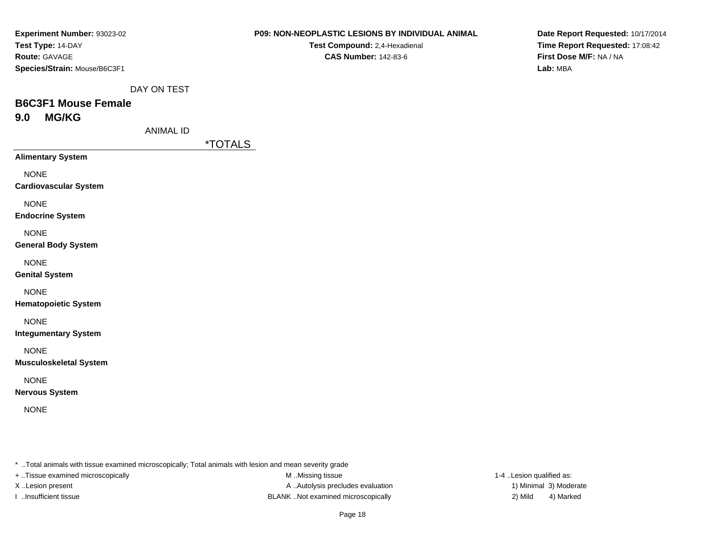| Experiment Number: 93023-02  |
|------------------------------|
| Test Type: 14-DAY            |
| <b>Route: GAVAGE</b>         |
| Species/Strain: Mouse/B6C3F1 |

**Test Compound:** 2,4-Hexadienal **CAS Number:** 142-83-6

**Date Report Requested:** 10/17/2014**Time Report Requested:** 17:08:42**First Dose M/F:** NA / NA**Lab:** MBA

DAY ON TEST

# **B6C3F1 Mouse Female9.0 MG/KG**

ANIMAL ID

\*TOTALS

**Alimentary System**

NONE

**Cardiovascular System**

NONE

**Endocrine System**

NONE

**General Body System**

NONE

**Genital System**

NONE

**Hematopoietic System**

NONE

**Integumentary System**

NONE

**Musculoskeletal System**

NONE

**Nervous System**

NONE

\* ..Total animals with tissue examined microscopically; Total animals with lesion and mean severity grade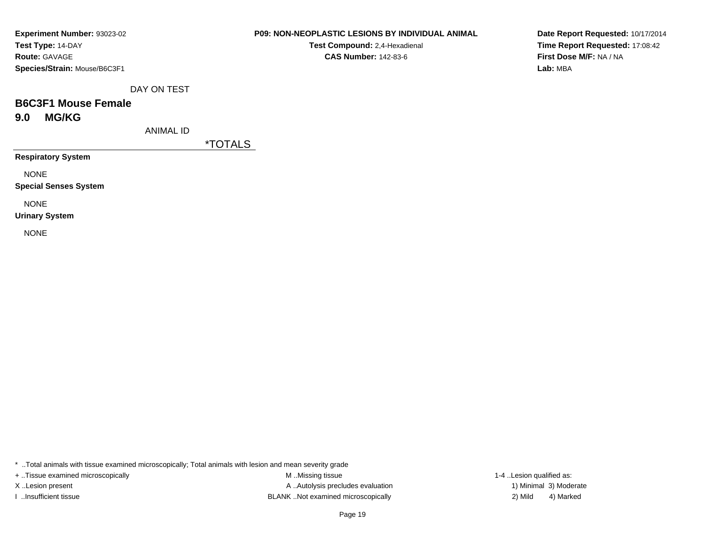| Experiment Number: 93023-02  |
|------------------------------|
| Test Type: 14-DAY            |
| <b>Route: GAVAGE</b>         |
| Species/Strain: Mouse/B6C3F1 |

**Test Compound:** 2,4-Hexadienal **CAS Number:** 142-83-6

**Date Report Requested:** 10/17/2014**Time Report Requested:** 17:08:42**First Dose M/F:** NA / NA**Lab:** MBA

DAY ON TEST

# **B6C3F1 Mouse Female9.0 MG/KG**

ANIMAL ID

\*TOTALS

**Respiratory System**

NONE

**Special Senses System**

NONE

**Urinary System**

NONE

\* ..Total animals with tissue examined microscopically; Total animals with lesion and mean severity grade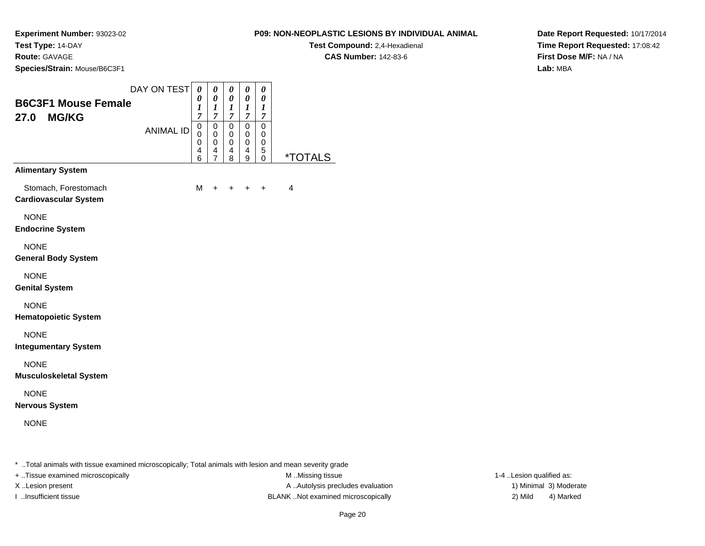**Route:** GAVAGE

**Species/Strain:** Mouse/B6C3F1

### **P09: NON-NEOPLASTIC LESIONS BY INDIVIDUAL ANIMAL**

**Test Compound:** 2,4-Hexadienal

**CAS Number:** 142-83-6

**Date Report Requested:** 10/17/2014**Time Report Requested:** 17:08:42**First Dose M/F:** NA / NA**Lab:** MBA

|                                                      | DAY ON TEST      | 0<br>0                               | 0<br>$\boldsymbol{\theta}$                                       | 0<br>$\boldsymbol{\theta}$         | 0<br>0                                    | 0<br>0                                    |                       |
|------------------------------------------------------|------------------|--------------------------------------|------------------------------------------------------------------|------------------------------------|-------------------------------------------|-------------------------------------------|-----------------------|
| <b>B6C3F1 Mouse Female</b><br><b>MG/KG</b><br>27.0   |                  | $\boldsymbol{l}$<br>$\boldsymbol{7}$ | 1<br>$\boldsymbol{7}$                                            | $\boldsymbol{l}$<br>$\overline{7}$ | $\boldsymbol{l}$<br>$\boldsymbol{7}$      | $\boldsymbol{l}$<br>$\overline{7}$        |                       |
|                                                      | <b>ANIMAL ID</b> | 0<br>0<br>0<br>4<br>6                | $\mathbf 0$<br>$\mathbf 0$<br>$\mathbf 0$<br>4<br>$\overline{7}$ | $\mathbf 0$<br>0<br>0<br>4<br>8    | $\mathsf 0$<br>0<br>$\mathsf 0$<br>4<br>9 | $\mathbf 0$<br>0<br>$\mathbf 0$<br>5<br>0 | <i><b>*TOTALS</b></i> |
| <b>Alimentary System</b>                             |                  |                                      |                                                                  |                                    |                                           |                                           |                       |
| Stomach, Forestomach<br><b>Cardiovascular System</b> |                  | M                                    | +                                                                | +                                  | $\ddot{}$                                 | +                                         | $\overline{4}$        |
| <b>NONE</b><br><b>Endocrine System</b>               |                  |                                      |                                                                  |                                    |                                           |                                           |                       |
| <b>NONE</b><br><b>General Body System</b>            |                  |                                      |                                                                  |                                    |                                           |                                           |                       |
| <b>NONE</b><br><b>Genital System</b>                 |                  |                                      |                                                                  |                                    |                                           |                                           |                       |
| <b>NONE</b><br><b>Hematopoietic System</b>           |                  |                                      |                                                                  |                                    |                                           |                                           |                       |
| <b>NONE</b><br><b>Integumentary System</b>           |                  |                                      |                                                                  |                                    |                                           |                                           |                       |
| <b>NONE</b><br><b>Musculoskeletal System</b>         |                  |                                      |                                                                  |                                    |                                           |                                           |                       |
| <b>NONE</b><br><b>Nervous System</b>                 |                  |                                      |                                                                  |                                    |                                           |                                           |                       |
| <b>NONE</b>                                          |                  |                                      |                                                                  |                                    |                                           |                                           |                       |
|                                                      |                  |                                      |                                                                  |                                    |                                           |                                           |                       |

\* ..Total animals with tissue examined microscopically; Total animals with lesion and mean severity grade

+ ..Tissue examined microscopically examined microscopically examined as:  $M$  ..Missing tissue 1-4 ..Lesion qualified as:

X..Lesion present **A ..Autolysis precludes evaluation** A ..Autolysis precludes evaluation 1) Minimal 3) Moderate I ..Insufficient tissue BLANK ..Not examined microscopically 2) Mild 4) Marked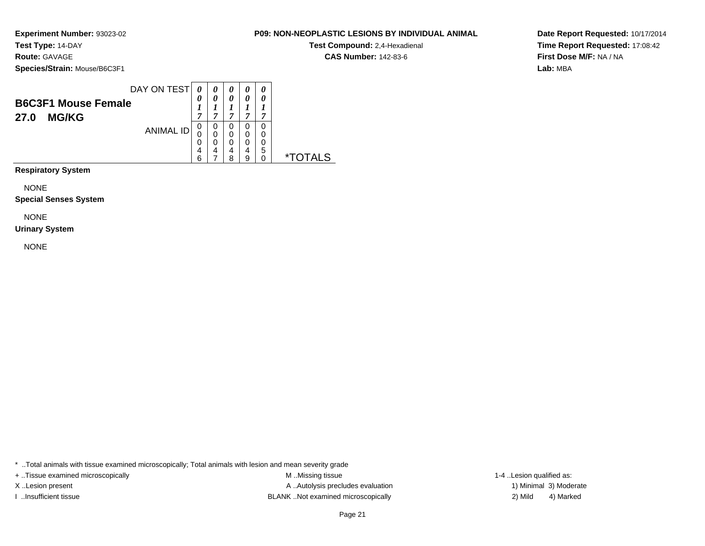### **Route:** GAVAGE

**Species/Strain:** Mouse/B6C3F1

| <b>B6C3F1 Mouse Female</b><br><b>MG/KG</b><br>27.0 | DAY ON TEST      | 0<br>7                | 0                | 0<br>0<br>−           | 0<br>0<br>,           | 0<br>0<br>7           |   |
|----------------------------------------------------|------------------|-----------------------|------------------|-----------------------|-----------------------|-----------------------|---|
|                                                    | <b>ANIMAL ID</b> | 0<br>0<br>0<br>4<br>ี | 0<br>0<br>0<br>4 | 0<br>0<br>0<br>4<br>ጸ | 0<br>0<br>0<br>4<br>a | 0<br>0<br>0<br>5<br>0 | × |

**Respiratory System**

NONE

**Special Senses System**

NONE

#### **Urinary System**

NONE

\* ..Total animals with tissue examined microscopically; Total animals with lesion and mean severity grade

+ ..Tissue examined microscopically examined microscopically examined as:  $M$  ..Missing tissue 1-4 ..Lesion qualified as:

X..Lesion present **A ..Autolysis precludes evaluation** A ..Autolysis precludes evaluation 1) Minimal 3) Moderate I ..Insufficient tissue BLANK ..Not examined microscopically 2) Mild 4) Marked

### **P09: NON-NEOPLASTIC LESIONS BY INDIVIDUAL ANIMALTest Compound:** 2,4-Hexadienal

**CAS Number:** 142-83-6

**Date Report Requested:** 10/17/2014**Time Report Requested:** 17:08:42**First Dose M/F:** NA / NA**Lab:** MBA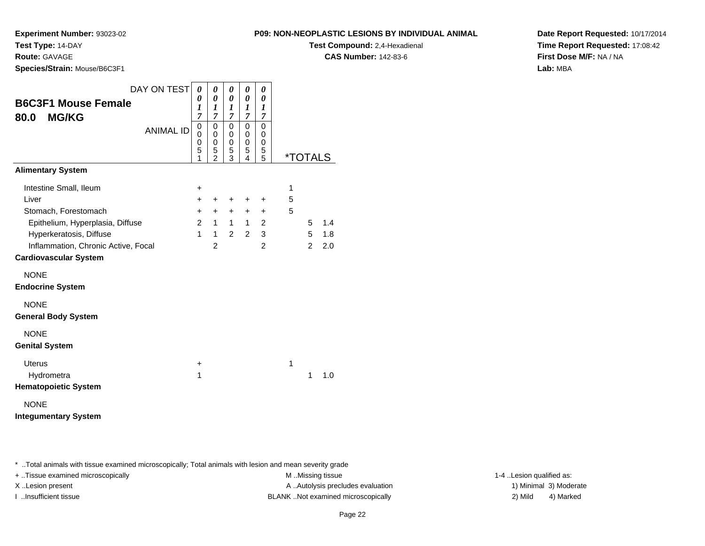**Route:** GAVAGE

**Species/Strain:** Mouse/B6C3F1

### **P09: NON-NEOPLASTIC LESIONS BY INDIVIDUAL ANIMAL**

**Test Compound:** 2,4-Hexadienal

**CAS Number:** 142-83-6

**Date Report Requested:** 10/17/2014**Time Report Requested:** 17:08:42**First Dose M/F:** NA / NA**Lab:** MBA

| DAY ON TEST<br>0<br>0<br>0<br>0<br>0                                                                                                                        |   |                       |     |
|-------------------------------------------------------------------------------------------------------------------------------------------------------------|---|-----------------------|-----|
| $\boldsymbol{\theta}$<br>0<br>0<br>0<br>0<br><b>B6C3F1 Mouse Female</b><br>1<br>$\boldsymbol{l}$<br>$\boldsymbol{l}$<br>1<br>1                              |   |                       |     |
| $\overline{7}$<br>$\overline{7}$<br>$\overline{7}$<br>$\overline{7}$<br>$\overline{7}$<br><b>MG/KG</b><br>80.0                                              |   |                       |     |
| $\mathbf 0$<br>0<br>$\mathbf 0$<br>0<br>0<br><b>ANIMAL ID</b><br>$\mathbf 0$<br>$\mathbf 0$<br>$\mathbf 0$<br>$\Omega$<br>$\Omega$<br>0<br>0<br>0<br>0<br>0 |   |                       |     |
| 5<br>5<br>5<br>5<br>5<br>$\overline{2}$<br>3<br>5<br>4<br>1                                                                                                 |   | <i><b>*TOTALS</b></i> |     |
| <b>Alimentary System</b>                                                                                                                                    |   |                       |     |
| Intestine Small, Ileum<br>+                                                                                                                                 | 1 |                       |     |
| Liver<br>$\pm$<br>$\ddot{}$<br>$\ddot{}$<br>$\ddot{}$<br>$\ddot{}$                                                                                          | 5 |                       |     |
| Stomach, Forestomach<br>$+$<br>$+$<br>$+$<br>$\pm$<br>$\pm$                                                                                                 | 5 |                       |     |
| Epithelium, Hyperplasia, Diffuse<br>$\overline{2}$<br>$\mathbf{1}$<br>$\mathbf{1}$<br>$\mathbf{1}$<br>2                                                     |   | 5                     | 1.4 |
| $\mathfrak{p}$<br>$\mathbf{1}$<br>2<br>3<br>Hyperkeratosis, Diffuse<br>$\mathbf{1}$                                                                         |   | 5                     | 1.8 |
| $\overline{2}$<br>$\overline{2}$<br>Inflammation, Chronic Active, Focal                                                                                     |   | 2                     | 2.0 |
| <b>Cardiovascular System</b>                                                                                                                                |   |                       |     |
| <b>NONE</b>                                                                                                                                                 |   |                       |     |
| <b>Endocrine System</b>                                                                                                                                     |   |                       |     |
| <b>NONE</b>                                                                                                                                                 |   |                       |     |
| <b>General Body System</b>                                                                                                                                  |   |                       |     |
| <b>NONE</b>                                                                                                                                                 |   |                       |     |
| <b>Genital System</b>                                                                                                                                       |   |                       |     |
| <b>Uterus</b><br>$\ddot{}$                                                                                                                                  | 1 |                       |     |
| Hydrometra<br>1                                                                                                                                             |   | 1                     | 1.0 |
| <b>Hematopoietic System</b>                                                                                                                                 |   |                       |     |
|                                                                                                                                                             |   |                       |     |

**Integumentary System**

\* ..Total animals with tissue examined microscopically; Total animals with lesion and mean severity grade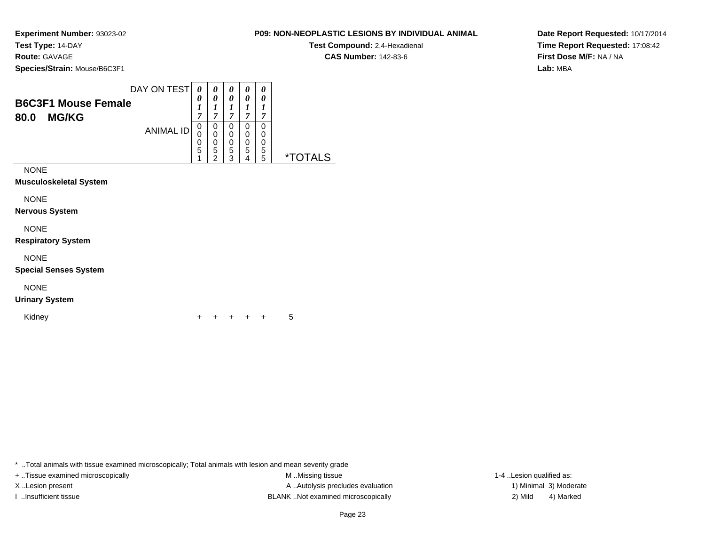### **Route:** GAVAGE

**Species/Strain:** Mouse/B6C3F1

|                                                    | DAY ON TEST      | 0      |             | 0           | 0           | 0           |  |
|----------------------------------------------------|------------------|--------|-------------|-------------|-------------|-------------|--|
| <b>B6C3F1 Mouse Female</b><br><b>MG/KG</b><br>80.0 |                  | 0<br>7 | 0<br>−      | 0<br>7      | 0<br>7      | 0<br>7      |  |
|                                                    | <b>ANIMAL ID</b> | 0      | 0<br>0<br>0 | 0<br>0<br>0 | 0<br>0<br>0 | 0<br>0<br>0 |  |
|                                                    |                  | 5      | 5<br>ົ      | 5<br>າ      | 5<br>4      | 5<br>5      |  |

NONE

**Musculoskeletal System**

NONE

**Nervous System**

NONE

**Respiratory System**

NONE

**Special Senses System**

NONE

**Urinary System**

Kidney

 $\mathsf y$ <sup>+</sup> <sup>+</sup> <sup>+</sup> + 5

\* ..Total animals with tissue examined microscopically; Total animals with lesion and mean severity grade

+ ..Tissue examined microscopically examined microscopically examined as:  $M$  ..Missing tissue 1-4 ..Lesion qualified as: X..Lesion present **A ..Autolysis precludes evaluation** A ..Autolysis precludes evaluation 1) Minimal 3) Moderate I ..Insufficient tissue BLANK ..Not examined microscopically 2) Mild 4) Marked

**P09: NON-NEOPLASTIC LESIONS BY INDIVIDUAL ANIMAL**

**Test Compound:** 2,4-Hexadienal **CAS Number:** 142-83-6

**Date Report Requested:** 10/17/2014**Time Report Requested:** 17:08:42**First Dose M/F:** NA / NA**Lab:** MBA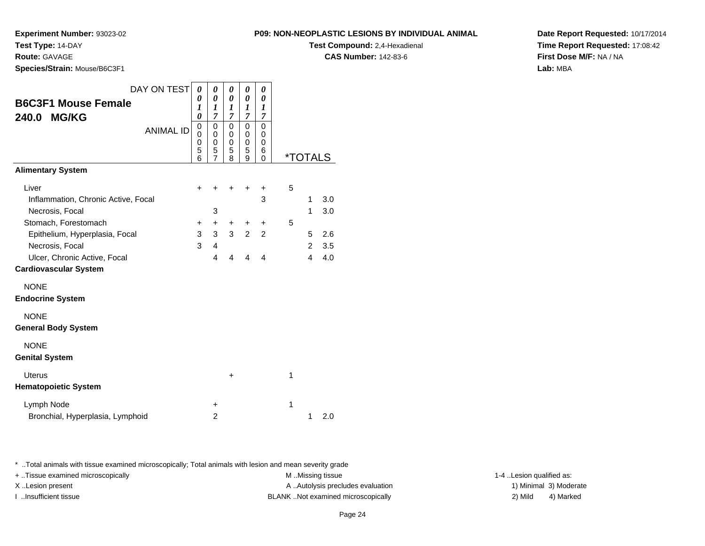**Experiment Number:** 93023-02

**Test Type:** 14-DAY

**Route:** GAVAGE

**Species/Strain:** Mouse/B6C3F1

**Test Compound:** 2,4-Hexadienal

**CAS Number:** 142-83-6

**Date Report Requested:** 10/17/2014**Time Report Requested:** 17:08:42**First Dose M/F:** NA / NA**Lab:** MBA

| <b>B6C3F1 Mouse Female</b><br><b>MG/KG</b><br>240.0          | DAY ON TEST      | 0<br>0<br>1<br>0      | 0<br>0<br>1<br>$\overline{7}$ | 0<br>0<br>1<br>7                | 0<br>0<br>1<br>$\overline{7}$   | 0<br>0<br>$\boldsymbol{l}$<br>7 |   |                       |     |
|--------------------------------------------------------------|------------------|-----------------------|-------------------------------|---------------------------------|---------------------------------|---------------------------------|---|-----------------------|-----|
|                                                              | <b>ANIMAL ID</b> | 0<br>0<br>0<br>5<br>6 | 0<br>0<br>0<br>5<br>7         | $\mathbf 0$<br>0<br>0<br>5<br>8 | $\mathbf 0$<br>0<br>0<br>5<br>9 | 0<br>0<br>0<br>6<br>$\Omega$    |   | <i><b>*TOTALS</b></i> |     |
| <b>Alimentary System</b>                                     |                  |                       |                               |                                 |                                 |                                 |   |                       |     |
| Liver                                                        |                  | $\ddot{}$             | +                             | ÷                               | +                               | +                               | 5 |                       |     |
| Inflammation, Chronic Active, Focal                          |                  |                       |                               |                                 |                                 | 3                               |   | 1                     | 3.0 |
| Necrosis, Focal                                              |                  |                       | 3                             |                                 |                                 |                                 |   | 1                     | 3.0 |
| Stomach, Forestomach                                         |                  | +                     | $\ddot{}$                     | +                               | +                               | +                               | 5 |                       |     |
| Epithelium, Hyperplasia, Focal                               |                  | 3                     | 3                             | 3                               | $\overline{2}$                  | 2                               |   | 5                     | 2.6 |
| Necrosis, Focal                                              |                  | 3                     | 4                             |                                 |                                 |                                 |   | $\overline{2}$        | 3.5 |
| Ulcer, Chronic Active, Focal<br><b>Cardiovascular System</b> |                  |                       | 4                             | 4                               | 4                               | 4                               |   | 4                     | 4.0 |
| <b>NONE</b>                                                  |                  |                       |                               |                                 |                                 |                                 |   |                       |     |
| <b>Endocrine System</b>                                      |                  |                       |                               |                                 |                                 |                                 |   |                       |     |
| <b>NONE</b>                                                  |                  |                       |                               |                                 |                                 |                                 |   |                       |     |
| <b>General Body System</b>                                   |                  |                       |                               |                                 |                                 |                                 |   |                       |     |
| <b>NONE</b>                                                  |                  |                       |                               |                                 |                                 |                                 |   |                       |     |
| <b>Genital System</b>                                        |                  |                       |                               |                                 |                                 |                                 |   |                       |     |
| <b>Uterus</b>                                                |                  |                       |                               | +                               |                                 |                                 | 1 |                       |     |
| <b>Hematopoietic System</b>                                  |                  |                       |                               |                                 |                                 |                                 |   |                       |     |
| Lymph Node                                                   |                  |                       | +                             |                                 |                                 |                                 | 1 |                       |     |
| Bronchial, Hyperplasia, Lymphoid                             |                  |                       | $\overline{2}$                |                                 |                                 |                                 |   | 1                     | 2.0 |

\* ..Total animals with tissue examined microscopically; Total animals with lesion and mean severity grade